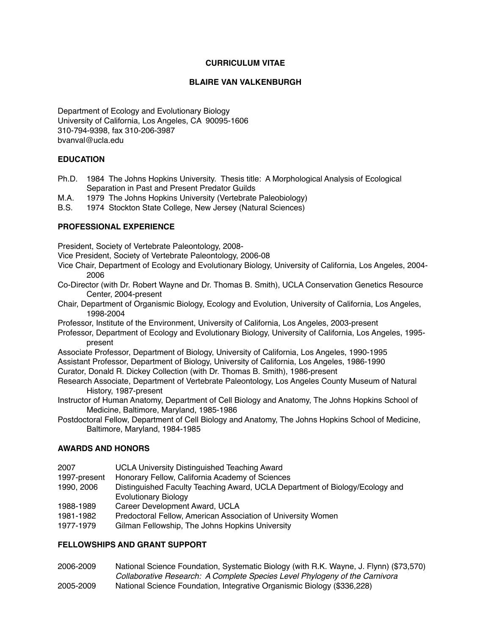## **CURRICULUM VITAE**

## **BLAIRE VAN VALKENBURGH**

Department of Ecology and Evolutionary Biology University of California, Los Angeles, CA 90095-1606 310-794-9398, fax 310-206-3987 bvanval@ucla.edu

## **EDUCATION**

- Ph.D. 1984 The Johns Hopkins University. Thesis title: A Morphological Analysis of Ecological Separation in Past and Present Predator Guilds
- M.A. 1979 The Johns Hopkins University (Vertebrate Paleobiology)
- B.S. 1974 Stockton State College, New Jersey (Natural Sciences)

## **PROFESSIONAL EXPERIENCE**

President, Society of Vertebrate Paleontology, 2008-

- Vice President, Society of Vertebrate Paleontology, 2006-08
- Vice Chair, Department of Ecology and Evolutionary Biology, University of California, Los Angeles, 2004- 2006
- Co-Director (with Dr. Robert Wayne and Dr. Thomas B. Smith), UCLA Conservation Genetics Resource Center, 2004-present
- Chair, Department of Organismic Biology, Ecology and Evolution, University of California, Los Angeles, 1998-2004
- Professor, Institute of the Environment, University of California, Los Angeles, 2003-present
- Professor, Department of Ecology and Evolutionary Biology, University of California, Los Angeles, 1995 present
- Associate Professor, Department of Biology, University of California, Los Angeles, 1990-1995 Assistant Professor, Department of Biology, University of California, Los Angeles, 1986-1990
- Curator, Donald R. Dickey Collection (with Dr. Thomas B. Smith), 1986-present
- Research Associate, Department of Vertebrate Paleontology, Los Angeles County Museum of Natural History, 1987-present
- Instructor of Human Anatomy, Department of Cell Biology and Anatomy, The Johns Hopkins School of Medicine, Baltimore, Maryland, 1985-1986
- Postdoctoral Fellow, Department of Cell Biology and Anatomy, The Johns Hopkins School of Medicine, Baltimore, Maryland, 1984-1985

# **AWARDS AND HONORS**

- 2007 UCLA University Distinguished Teaching Award
- 1997-present Honorary Fellow, California Academy of Sciences
- 1990, 2006 Distinguished Faculty Teaching Award, UCLA Department of Biology/Ecology and **Evolutionary Biology**
- 1988-1989 Career Development Award, UCLA
- 1981-1982 Predoctoral Fellow, American Association of University Women
- 1977-1979 Gilman Fellowship, The Johns Hopkins University

#### **FELLOWSHIPS AND GRANT SUPPORT**

- 2006-2009 National Science Foundation, Systematic Biology (with R.K. Wayne, J. Flynn) (\$73,570) ! ! *Collaborative Research: A Complete Species Level Phylogeny of the Carnivora*
- 2005-2009 National Science Foundation, Integrative Organismic Biology (\$336,228)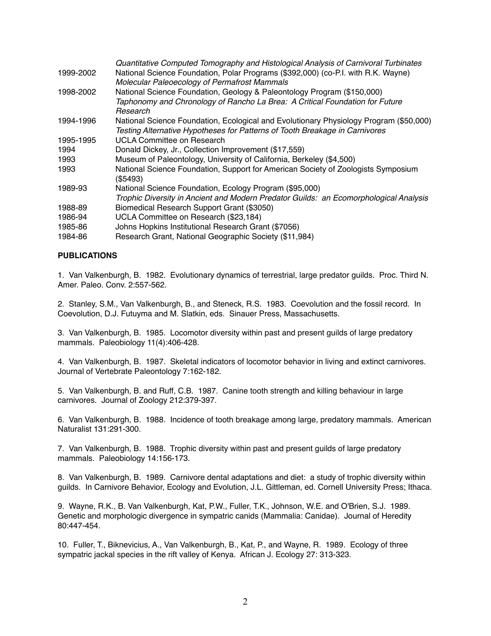|           | Quantitative Computed Tomography and Histological Analysis of Carnivoral Turbinates    |
|-----------|----------------------------------------------------------------------------------------|
| 1999-2002 | National Science Foundation, Polar Programs (\$392,000) (co-P.I. with R.K. Wayne)      |
|           | Molecular Paleoecology of Permafrost Mammals                                           |
| 1998-2002 | National Science Foundation, Geology & Paleontology Program (\$150,000)                |
|           | Taphonomy and Chronology of Rancho La Brea: A Critical Foundation for Future           |
|           | Research                                                                               |
| 1994-1996 | National Science Foundation, Ecological and Evolutionary Physiology Program (\$50,000) |
|           | Testing Alternative Hypotheses for Patterns of Tooth Breakage in Carnivores            |
| 1995-1995 | UCLA Committee on Research                                                             |
| 1994      | Donald Dickey, Jr., Collection Improvement (\$17,559)                                  |
| 1993      | Museum of Paleontology, University of California, Berkeley (\$4,500)                   |
| 1993      | National Science Foundation, Support for American Society of Zoologists Symposium      |
|           | (\$5493)                                                                               |
| 1989-93   | National Science Foundation, Ecology Program (\$95,000)                                |
|           | Trophic Diversity in Ancient and Modern Predator Guilds: an Ecomorphological Analysis  |
| 1988-89   | Biomedical Research Support Grant (\$3050)                                             |
| 1986-94   | UCLA Committee on Research (\$23,184)                                                  |
| 1985-86   | Johns Hopkins Institutional Research Grant (\$7056)                                    |
| 1984-86   | Research Grant, National Geographic Society (\$11,984)                                 |

## **PUBLICATIONS**

1. Van Valkenburgh, B. 1982. Evolutionary dynamics of terrestrial, large predator guilds. Proc. Third N. Amer. Paleo. Conv. 2:557-562.

2. Stanley, S.M., Van Valkenburgh, B., and Steneck, R.S. 1983. Coevolution and the fossil record. In Coevolution, D.J. Futuyma and M. Slatkin, eds. Sinauer Press, Massachusetts.

3. Van Valkenburgh, B. 1985. Locomotor diversity within past and present guilds of large predatory mammals. Paleobiology 11(4):406-428.

4. Van Valkenburgh, B. 1987. Skeletal indicators of locomotor behavior in living and extinct carnivores. Journal of Vertebrate Paleontology 7:162-182.

5. Van Valkenburgh, B. and Ruff, C.B. 1987. Canine tooth strength and killing behaviour in large carnivores. Journal of Zoology 212:379-397.

6. Van Valkenburgh, B. 1988. Incidence of tooth breakage among large, predatory mammals. American Naturalist 131:291-300.

7. Van Valkenburgh, B. 1988. Trophic diversity within past and present guilds of large predatory mammals. Paleobiology 14:156-173.

8. Van Valkenburgh, B. 1989. Carnivore dental adaptations and diet: a study of trophic diversity within guilds. In Carnivore Behavior, Ecology and Evolution, J.L. Gittleman, ed. Cornell University Press; Ithaca.

9. Wayne, R.K., B. Van Valkenburgh, Kat, P.W., Fuller, T.K., Johnson, W.E. and O'Brien, S.J. 1989. Genetic and morphologic divergence in sympatric canids (Mammalia: Canidae). Journal of Heredity 80:447-454.

10. Fuller, T., Biknevicius, A., Van Valkenburgh, B., Kat, P., and Wayne, R. 1989. Ecology of three sympatric jackal species in the rift valley of Kenya. African J. Ecology 27: 313-323.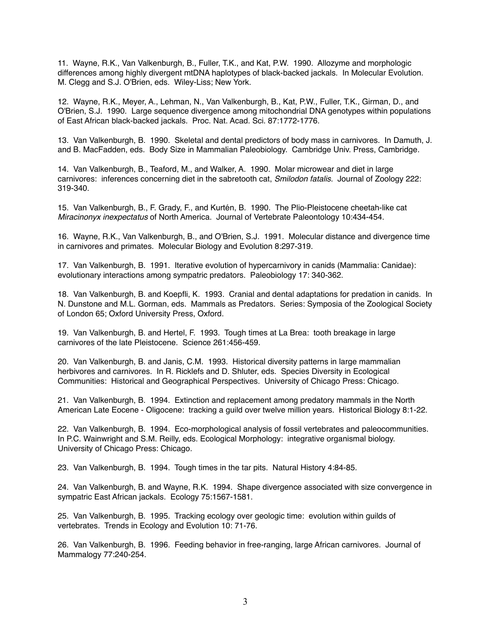11. Wayne, R.K., Van Valkenburgh, B., Fuller, T.K., and Kat, P.W. 1990. Allozyme and morphologic differences among highly divergent mtDNA haplotypes of black-backed jackals. In Molecular Evolution. M. Clegg and S.J. O'Brien, eds. Wiley-Liss; New York.

12. Wayne, R.K., Meyer, A., Lehman, N., Van Valkenburgh, B., Kat, P.W., Fuller, T.K., Girman, D., and O'Brien, S.J. 1990. Large sequence divergence among mitochondrial DNA genotypes within populations of East African black-backed jackals. Proc. Nat. Acad. Sci. 87:1772-1776.

13. Van Valkenburgh, B. 1990. Skeletal and dental predictors of body mass in carnivores. In Damuth, J. and B. MacFadden, eds. Body Size in Mammalian Paleobiology. Cambridge Univ. Press, Cambridge.

14. Van Valkenburgh, B., Teaford, M., and Walker, A. 1990. Molar microwear and diet in large carnivores: inferences concerning diet in the sabretooth cat, *Smilodon fatalis.* Journal of Zoology 222: 319-340.

15. Van Valkenburgh, B., F. Grady, F., and Kurtén, B. 1990. The Plio-Pleistocene cheetah-like cat *Miracinonyx inexpectatus* of North America. Journal of Vertebrate Paleontology 10:434-454.

16. Wayne, R.K., Van Valkenburgh, B., and O'Brien, S.J. 1991. Molecular distance and divergence time in carnivores and primates. Molecular Biology and Evolution 8:297-319.

17. Van Valkenburgh, B. 1991. Iterative evolution of hypercarnivory in canids (Mammalia: Canidae): evolutionary interactions among sympatric predators. Paleobiology 17: 340-362.

18. Van Valkenburgh, B. and Koepfli, K. 1993. Cranial and dental adaptations for predation in canids. In N. Dunstone and M.L. Gorman, eds. Mammals as Predators. Series: Symposia of the Zoological Society of London 65; Oxford University Press, Oxford.

19. Van Valkenburgh, B. and Hertel, F. 1993. Tough times at La Brea: tooth breakage in large carnivores of the late Pleistocene. Science 261:456-459.

20. Van Valkenburgh, B. and Janis, C.M. 1993. Historical diversity patterns in large mammalian herbivores and carnivores. In R. Ricklefs and D. Shluter, eds. Species Diversity in Ecological Communities: Historical and Geographical Perspectives. University of Chicago Press: Chicago.

21. Van Valkenburgh, B. 1994. Extinction and replacement among predatory mammals in the North American Late Eocene - Oligocene: tracking a guild over twelve million years. Historical Biology 8:1-22.

22. Van Valkenburgh, B. 1994. Eco-morphological analysis of fossil vertebrates and paleocommunities. In P.C. Wainwright and S.M. Reilly, eds. Ecological Morphology: integrative organismal biology. University of Chicago Press: Chicago.

23. Van Valkenburgh, B. 1994. Tough times in the tar pits. Natural History 4:84-85.

24. Van Valkenburgh, B. and Wayne, R.K. 1994. Shape divergence associated with size convergence in sympatric East African jackals. Ecology 75:1567-1581.

25. Van Valkenburgh, B. 1995. Tracking ecology over geologic time: evolution within guilds of vertebrates. Trends in Ecology and Evolution 10: 71-76.

26. Van Valkenburgh, B. 1996. Feeding behavior in free-ranging, large African carnivores. Journal of Mammalogy 77:240-254.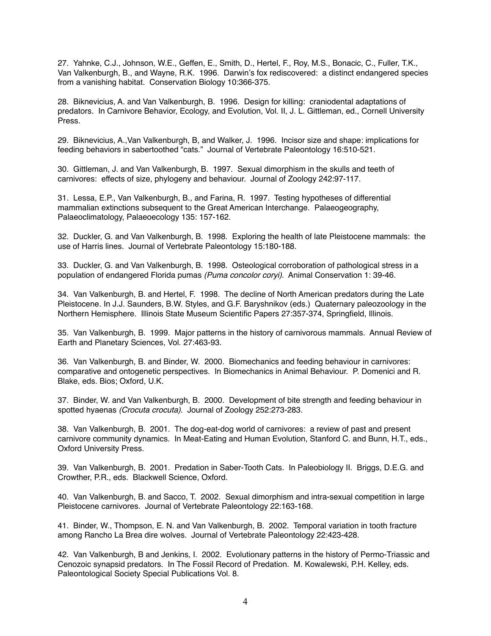27. Yahnke, C.J., Johnson, W.E., Geffen, E., Smith, D., Hertel, F., Roy, M.S., Bonacic, C., Fuller, T.K., Van Valkenburgh, B., and Wayne, R.K. 1996. Darwin's fox rediscovered: a distinct endangered species from a vanishing habitat. Conservation Biology 10:366-375.

28. Biknevicius, A. and Van Valkenburgh, B. 1996. Design for killing: craniodental adaptations of predators. In Carnivore Behavior, Ecology, and Evolution, Vol. II, J. L. Gittleman, ed., Cornell University Press.

29. Biknevicius, A.,Van Valkenburgh, B, and Walker, J. 1996. Incisor size and shape: implications for feeding behaviors in sabertoothed "cats." Journal of Vertebrate Paleontology 16:510-521.

30. Gittleman, J. and Van Valkenburgh, B. 1997. Sexual dimorphism in the skulls and teeth of carnivores: effects of size, phylogeny and behaviour. Journal of Zoology 242:97-117.

31. Lessa, E.P., Van Valkenburgh, B., and Farina, R. 1997. Testing hypotheses of differential mammalian extinctions subsequent to the Great American Interchange. Palaeogeography, Palaeoclimatology, Palaeoecology 135: 157-162.

32. Duckler, G. and Van Valkenburgh, B. 1998. Exploring the health of late Pleistocene mammals: the use of Harris lines. Journal of Vertebrate Paleontology 15:180-188.

33. Duckler, G. and Van Valkenburgh, B. 1998. Osteological corroboration of pathological stress in a population of endangered Florida pumas *(Puma concolor coryi)*. Animal Conservation 1: 39-46.

34. Van Valkenburgh, B. and Hertel, F. 1998. The decline of North American predators during the Late Pleistocene. In J.J. Saunders, B.W. Styles, and G.F. Baryshnikov (eds.) Quaternary paleozoology in the Northern Hemisphere. Illinois State Museum Scientific Papers 27:357-374, Springfield, Illinois.

35. Van Valkenburgh, B. 1999. Major patterns in the history of carnivorous mammals. Annual Review of Earth and Planetary Sciences, Vol. 27:463-93.

36. Van Valkenburgh, B. and Binder, W. 2000. Biomechanics and feeding behaviour in carnivores: comparative and ontogenetic perspectives. In Biomechanics in Animal Behaviour. P. Domenici and R. Blake, eds. Bios; Oxford, U.K.

37. Binder, W. and Van Valkenburgh, B. 2000. Development of bite strength and feeding behaviour in spotted hyaenas *(Crocuta crocuta)*. Journal of Zoology 252:273-283.

38. Van Valkenburgh, B. 2001. The dog-eat-dog world of carnivores: a review of past and present carnivore community dynamics. In Meat-Eating and Human Evolution, Stanford C. and Bunn, H.T., eds., Oxford University Press.

39. Van Valkenburgh, B. 2001. Predation in Saber-Tooth Cats. In Paleobiology II. Briggs, D.E.G. and Crowther, P.R., eds. Blackwell Science, Oxford.

40. Van Valkenburgh, B. and Sacco, T. 2002. Sexual dimorphism and intra-sexual competition in large Pleistocene carnivores. Journal of Vertebrate Paleontology 22:163-168.

41. Binder, W., Thompson, E. N. and Van Valkenburgh, B. 2002. Temporal variation in tooth fracture among Rancho La Brea dire wolves. Journal of Vertebrate Paleontology 22:423-428.

42. Van Valkenburgh, B and Jenkins, I. 2002. Evolutionary patterns in the history of Permo-Triassic and Cenozoic synapsid predators. In The Fossil Record of Predation. M. Kowalewski, P.H. Kelley, eds. Paleontological Society Special Publications Vol. 8.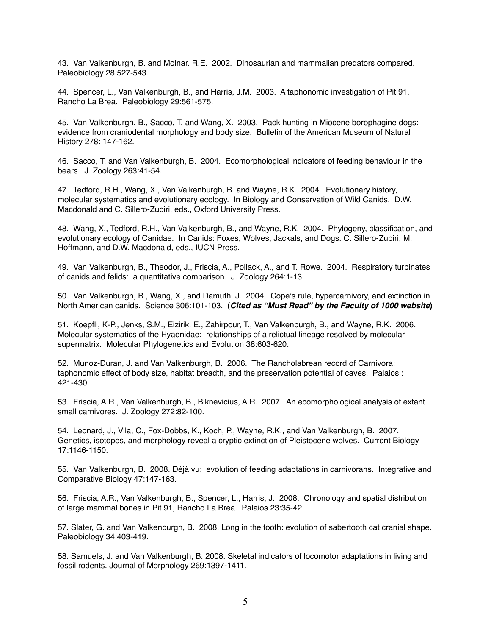43. Van Valkenburgh, B. and Molnar. R.E. 2002. Dinosaurian and mammalian predators compared. Paleobiology 28:527-543.

44. Spencer, L., Van Valkenburgh, B., and Harris, J.M. 2003. A taphonomic investigation of Pit 91, Rancho La Brea. Paleobiology 29:561-575.

45. Van Valkenburgh, B., Sacco, T. and Wang, X. 2003. Pack hunting in Miocene borophagine dogs: evidence from craniodental morphology and body size. Bulletin of the American Museum of Natural History 278: 147-162.

46. Sacco, T. and Van Valkenburgh, B. 2004. Ecomorphological indicators of feeding behaviour in the bears. J. Zoology 263:41-54.

47. Tedford, R.H., Wang, X., Van Valkenburgh, B. and Wayne, R.K. 2004. Evolutionary history, molecular systematics and evolutionary ecology. In Biology and Conservation of Wild Canids. D.W. Macdonald and C. Sillero-Zubiri, eds., Oxford University Press.

48. Wang, X., Tedford, R.H., Van Valkenburgh, B., and Wayne, R.K. 2004. Phylogeny, classification, and evolutionary ecology of Canidae. In Canids: Foxes, Wolves, Jackals, and Dogs. C. Sillero-Zubiri, M. Hoffmann, and D.W. Macdonald, eds., IUCN Press.

49. Van Valkenburgh, B., Theodor, J., Friscia, A., Pollack, A., and T. Rowe. 2004. Respiratory turbinates of canids and felids: a quantitative comparison. J. Zoology 264:1-13.

50. Van Valkenburgh, B., Wang, X., and Damuth, J. 2004. Cope's rule, hypercarnivory, and extinction in North American canids. Science 306:101-103. **(***Cited as "Must Read" by the Faculty of 1000 website***)**

51. Koepfli, K-P., Jenks, S.M., Eizirik, E., Zahirpour, T., Van Valkenburgh, B., and Wayne, R.K. 2006. Molecular systematics of the Hyaenidae: relationships of a relictual lineage resolved by molecular supermatrix. Molecular Phylogenetics and Evolution 38:603-620.

52. Munoz-Duran, J. and Van Valkenburgh, B. 2006. The Rancholabrean record of Carnivora: taphonomic effect of body size, habitat breadth, and the preservation potential of caves. Palaios : 421-430.

53. Friscia, A.R., Van Valkenburgh, B., Biknevicius, A.R. 2007. An ecomorphological analysis of extant small carnivores. J. Zoology 272:82-100.

54. Leonard, J., Vila, C., Fox-Dobbs, K., Koch, P., Wayne, R.K., and Van Valkenburgh, B. 2007. Genetics, isotopes, and morphology reveal a cryptic extinction of Pleistocene wolves. Current Biology 17:1146-1150.

55. Van Valkenburgh, B. 2008. Déjà vu: evolution of feeding adaptations in carnivorans. Integrative and Comparative Biology 47:147-163.

56. Friscia, A.R., Van Valkenburgh, B., Spencer, L., Harris, J. 2008. Chronology and spatial distribution of large mammal bones in Pit 91, Rancho La Brea. Palaios 23:35-42.

57. Slater, G. and Van Valkenburgh, B. 2008. Long in the tooth: evolution of sabertooth cat cranial shape. Paleobiology 34:403-419.

58. Samuels, J. and Van Valkenburgh, B. 2008. Skeletal indicators of locomotor adaptations in living and fossil rodents. Journal of Morphology 269:1397-1411.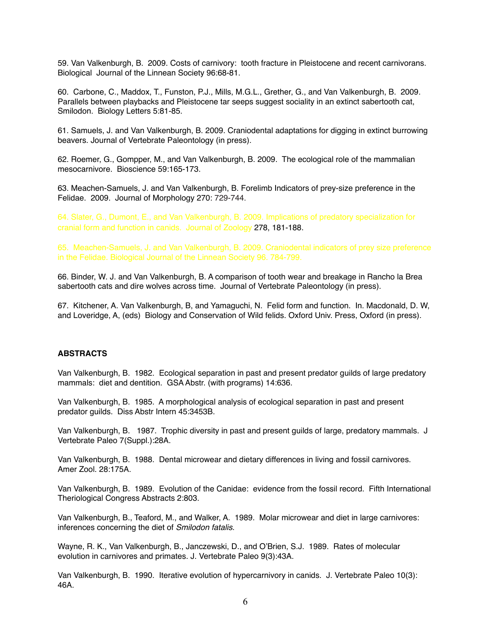59. Van Valkenburgh, B. 2009. Costs of carnivory: tooth fracture in Pleistocene and recent carnivorans. Biological Journal of the Linnean Society 96:68-81.

60. Carbone, C., Maddox, T., Funston, P.J., Mills, M.G.L., Grether, G., and Van Valkenburgh, B. 2009. Parallels between playbacks and Pleistocene tar seeps suggest sociality in an extinct sabertooth cat, Smilodon. Biology Letters 5:81-85.

61. Samuels, J. and Van Valkenburgh, B. 2009. Craniodental adaptations for digging in extinct burrowing beavers. Journal of Vertebrate Paleontology (in press).

62. Roemer, G., Gompper, M., and Van Valkenburgh, B. 2009. The ecological role of the mammalian mesocarnivore. Bioscience 59:165-173.

63. Meachen-Samuels, J. and Van Valkenburgh, B. Forelimb Indicators of prey-size preference in the Felidae. 2009. Journal of Morphology 270: 729-744.

64. Slater, G., Dumont, E., and Van Valkenburgh, B. 2009. Implications of predatory specialization for cranial form and function in canids. Journal of Zoology 278, 181-188.

65. Meachen-Samuels, J. and Van Valkenburgh, B. 2009. Craniodental indicators of prey size preference in the Felidae. Biological Journal of the Linnean Society 96. 784-799.

66. Binder, W. J. and Van Valkenburgh, B. A comparison of tooth wear and breakage in Rancho la Brea sabertooth cats and dire wolves across time. Journal of Vertebrate Paleontology (in press).

67. Kitchener, A. Van Valkenburgh, B, and Yamaguchi, N. Felid form and function. In. Macdonald, D. W, and Loveridge, A, (eds) Biology and Conservation of Wild felids. Oxford Univ. Press, Oxford (in press).

## **ABSTRACTS**

Van Valkenburgh, B. 1982. Ecological separation in past and present predator guilds of large predatory mammals: diet and dentition. GSA Abstr. (with programs) 14:636.

Van Valkenburgh, B. 1985. A morphological analysis of ecological separation in past and present predator guilds. Diss Abstr Intern 45:3453B.

Van Valkenburgh, B. 1987. Trophic diversity in past and present guilds of large, predatory mammals. J Vertebrate Paleo 7(Suppl.):28A.

Van Valkenburgh, B. 1988. Dental microwear and dietary differences in living and fossil carnivores. Amer Zool. 28:175A.

Van Valkenburgh, B. 1989. Evolution of the Canidae: evidence from the fossil record. Fifth International Theriological Congress Abstracts 2:803.

Van Valkenburgh, B., Teaford, M., and Walker, A. 1989. Molar microwear and diet in large carnivores: inferences concerning the diet of *Smilodon fatalis*.

Wayne, R. K., Van Valkenburgh, B., Janczewski, D., and O'Brien, S.J. 1989. Rates of molecular evolution in carnivores and primates. J. Vertebrate Paleo 9(3):43A.

Van Valkenburgh, B. 1990. Iterative evolution of hypercarnivory in canids. J. Vertebrate Paleo 10(3): 46A.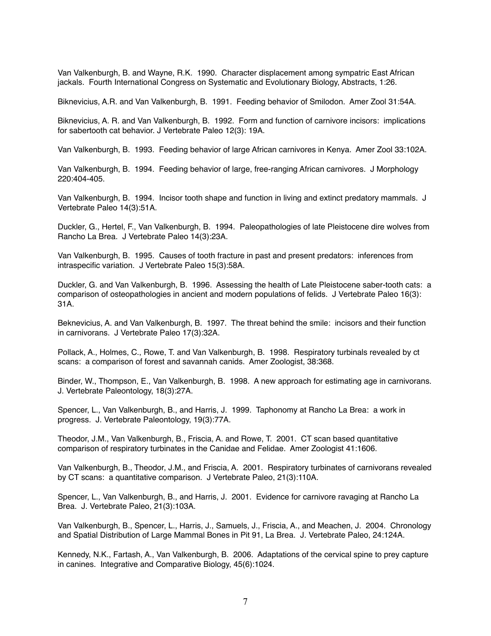Van Valkenburgh, B. and Wayne, R.K. 1990. Character displacement among sympatric East African jackals. Fourth International Congress on Systematic and Evolutionary Biology, Abstracts, 1:26.

Biknevicius, A.R. and Van Valkenburgh, B. 1991. Feeding behavior of Smilodon. Amer Zool 31:54A.

Biknevicius, A. R. and Van Valkenburgh, B. 1992. Form and function of carnivore incisors: implications for sabertooth cat behavior. J Vertebrate Paleo 12(3): 19A.

Van Valkenburgh, B. 1993. Feeding behavior of large African carnivores in Kenya. Amer Zool 33:102A.

Van Valkenburgh, B. 1994. Feeding behavior of large, free-ranging African carnivores. J Morphology 220:404-405.

Van Valkenburgh, B. 1994. Incisor tooth shape and function in living and extinct predatory mammals. J Vertebrate Paleo 14(3):51A.

Duckler, G., Hertel, F., Van Valkenburgh, B. 1994. Paleopathologies of late Pleistocene dire wolves from Rancho La Brea. J Vertebrate Paleo 14(3):23A.

Van Valkenburgh, B. 1995. Causes of tooth fracture in past and present predators: inferences from intraspecific variation. J Vertebrate Paleo 15(3):58A.

Duckler, G. and Van Valkenburgh, B. 1996. Assessing the health of Late Pleistocene saber-tooth cats: a comparison of osteopathologies in ancient and modern populations of felids. J Vertebrate Paleo 16(3): 31A.

Beknevicius, A. and Van Valkenburgh, B. 1997. The threat behind the smile: incisors and their function in carnivorans. J Vertebrate Paleo 17(3):32A.

Pollack, A., Holmes, C., Rowe, T. and Van Valkenburgh, B. 1998. Respiratory turbinals revealed by ct scans: a comparison of forest and savannah canids. Amer Zoologist, 38:368.

Binder, W., Thompson, E., Van Valkenburgh, B. 1998. A new approach for estimating age in carnivorans. J. Vertebrate Paleontology, 18(3):27A.

Spencer, L., Van Valkenburgh, B., and Harris, J. 1999. Taphonomy at Rancho La Brea: a work in progress. J. Vertebrate Paleontology, 19(3):77A.

Theodor, J.M., Van Valkenburgh, B., Friscia, A. and Rowe, T. 2001. CT scan based quantitative comparison of respiratory turbinates in the Canidae and Felidae. Amer Zoologist 41:1606.

Van Valkenburgh, B., Theodor, J.M., and Friscia, A. 2001. Respiratory turbinates of carnivorans revealed by CT scans: a quantitative comparison. J Vertebrate Paleo, 21(3):110A.

Spencer, L., Van Valkenburgh, B., and Harris, J. 2001. Evidence for carnivore ravaging at Rancho La Brea. J. Vertebrate Paleo, 21(3):103A.

Van Valkenburgh, B., Spencer, L., Harris, J., Samuels, J., Friscia, A., and Meachen, J. 2004. Chronology and Spatial Distribution of Large Mammal Bones in Pit 91, La Brea. J. Vertebrate Paleo, 24:124A.

Kennedy, N.K., Fartash, A., Van Valkenburgh, B. 2006. Adaptations of the cervical spine to prey capture in canines. Integrative and Comparative Biology, 45(6):1024.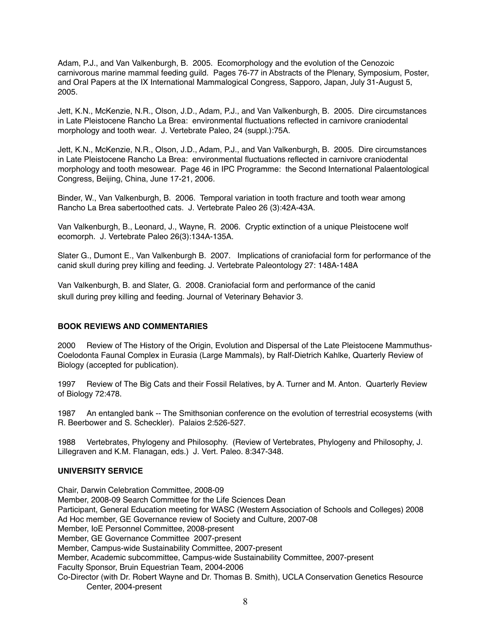Adam, P.J., and Van Valkenburgh, B. 2005. Ecomorphology and the evolution of the Cenozoic carnivorous marine mammal feeding guild. Pages 76-77 in Abstracts of the Plenary, Symposium, Poster, and Oral Papers at the IX International Mammalogical Congress, Sapporo, Japan, July 31-August 5, 2005.

Jett, K.N., McKenzie, N.R., Olson, J.D., Adam, P.J., and Van Valkenburgh, B. 2005. Dire circumstances in Late Pleistocene Rancho La Brea: environmental fluctuations reflected in carnivore craniodental morphology and tooth wear. J. Vertebrate Paleo, 24 (suppl.):75A.

Jett, K.N., McKenzie, N.R., Olson, J.D., Adam, P.J., and Van Valkenburgh, B. 2005. Dire circumstances in Late Pleistocene Rancho La Brea: environmental fluctuations reflected in carnivore craniodental morphology and tooth mesowear. Page 46 in IPC Programme: the Second International Palaentological Congress, Beijing, China, June 17-21, 2006.

Binder, W., Van Valkenburgh, B. 2006. Temporal variation in tooth fracture and tooth wear among Rancho La Brea sabertoothed cats. J. Vertebrate Paleo 26 (3):42A-43A.

Van Valkenburgh, B., Leonard, J., Wayne, R. 2006. Cryptic extinction of a unique Pleistocene wolf ecomorph. J. Vertebrate Paleo 26(3):134A-135A.

Slater G., Dumont E., Van Valkenburgh B. 2007. Implications of craniofacial form for performance of the canid skull during prey killing and feeding. J. Vertebrate Paleontology 27: 148A-148A

Van Valkenburgh, B. and Slater, G. 2008. Craniofacial form and performance of the canid skull during prey killing and feeding. Journal of Veterinary Behavior 3.

#### **BOOK REVIEWS AND COMMENTARIES**

2000 Review of The History of the Origin, Evolution and Dispersal of the Late Pleistocene Mammuthus-Coelodonta Faunal Complex in Eurasia (Large Mammals), by Ralf-Dietrich Kahlke, Quarterly Review of Biology (accepted for publication).

1997 Review of The Big Cats and their Fossil Relatives, by A. Turner and M. Anton. Quarterly Review of Biology 72:478.

1987 An entangled bank -- The Smithsonian conference on the evolution of terrestrial ecosystems (with R. Beerbower and S. Scheckler). Palaios 2:526-527.

1988 Vertebrates, Phylogeny and Philosophy. (Review of Vertebrates, Phylogeny and Philosophy, J. Lillegraven and K.M. Flanagan, eds.) J. Vert. Paleo. 8:347-348.

#### **UNIVERSITY SERVICE**

Chair, Darwin Celebration Committee, 2008-09 Member, 2008-09 Search Committee for the Life Sciences Dean Participant, General Education meeting for WASC (Western Association of Schools and Colleges) 2008 Ad Hoc member, GE Governance review of Society and Culture, 2007-08 Member, IoE Personnel Committee, 2008-present Member, GE Governance Committee 2007-present Member, Campus-wide Sustainability Committee, 2007-present Member, Academic subcommittee, Campus-wide Sustainability Committee, 2007-present Faculty Sponsor, Bruin Equestrian Team, 2004-2006 Co-Director (with Dr. Robert Wayne and Dr. Thomas B. Smith), UCLA Conservation Genetics Resource Center, 2004-present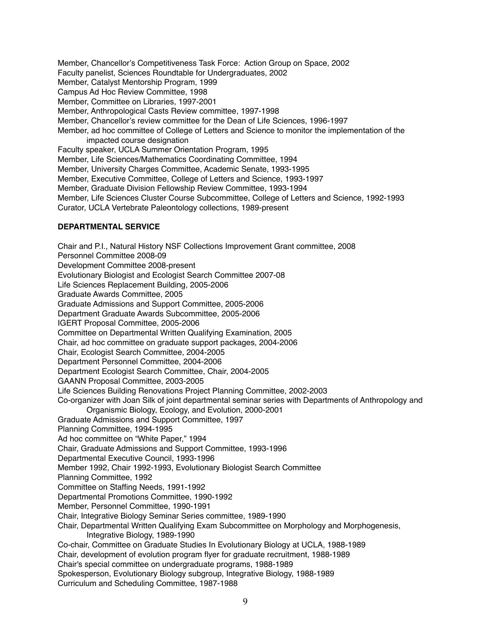Member, Chancellor's Competitiveness Task Force: Action Group on Space, 2002 Faculty panelist, Sciences Roundtable for Undergraduates, 2002 Member, Catalyst Mentorship Program, 1999 Campus Ad Hoc Review Committee, 1998 Member, Committee on Libraries, 1997-2001 Member, Anthropological Casts Review committee, 1997-1998 Member, Chancellor's review committee for the Dean of Life Sciences, 1996-1997 Member, ad hoc committee of College of Letters and Science to monitor the implementation of the impacted course designation Faculty speaker, UCLA Summer Orientation Program, 1995 Member, Life Sciences/Mathematics Coordinating Committee, 1994 Member, University Charges Committee, Academic Senate, 1993-1995 Member, Executive Committee, College of Letters and Science, 1993-1997 Member, Graduate Division Fellowship Review Committee, 1993-1994 Member, Life Sciences Cluster Course Subcommittee, College of Letters and Science, 1992-1993 Curator, UCLA Vertebrate Paleontology collections, 1989-present

#### **DEPARTMENTAL SERVICE**

Chair and P.I., Natural History NSF Collections Improvement Grant committee, 2008 Personnel Committee 2008-09 Development Committee 2008-present Evolutionary Biologist and Ecologist Search Committee 2007-08 Life Sciences Replacement Building, 2005-2006 Graduate Awards Committee, 2005 Graduate Admissions and Support Committee, 2005-2006 Department Graduate Awards Subcommittee, 2005-2006 IGERT Proposal Committee, 2005-2006 Committee on Departmental Written Qualifying Examination, 2005 Chair, ad hoc committee on graduate support packages, 2004-2006 Chair, Ecologist Search Committee, 2004-2005 Department Personnel Committee, 2004-2006 Department Ecologist Search Committee, Chair, 2004-2005 GAANN Proposal Committee, 2003-2005 Life Sciences Building Renovations Project Planning Committee, 2002-2003 Co-organizer with Joan Silk of joint departmental seminar series with Departments of Anthropology and Organismic Biology, Ecology, and Evolution, 2000-2001 Graduate Admissions and Support Committee, 1997 Planning Committee, 1994-1995 Ad hoc committee on "White Paper," 1994 Chair, Graduate Admissions and Support Committee, 1993-1996 Departmental Executive Council, 1993-1996 Member 1992, Chair 1992-1993, Evolutionary Biologist Search Committee Planning Committee, 1992 Committee on Staffing Needs, 1991-1992 Departmental Promotions Committee, 1990-1992 Member, Personnel Committee, 1990-1991 Chair, Integrative Biology Seminar Series committee, 1989-1990 Chair, Departmental Written Qualifying Exam Subcommittee on Morphology and Morphogenesis, Integrative Biology, 1989-1990 Co-chair, Committee on Graduate Studies In Evolutionary Biology at UCLA, 1988-1989 Chair, development of evolution program flyer for graduate recruitment, 1988-1989 Chair's special committee on undergraduate programs, 1988-1989 Spokesperson, Evolutionary Biology subgroup, Integrative Biology, 1988-1989 Curriculum and Scheduling Committee, 1987-1988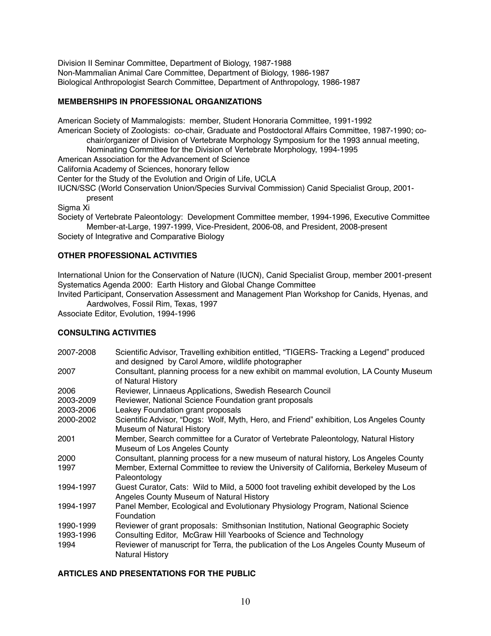Division II Seminar Committee, Department of Biology, 1987-1988 Non-Mammalian Animal Care Committee, Department of Biology, 1986-1987 Biological Anthropologist Search Committee, Department of Anthropology, 1986-1987

# **MEMBERSHIPS IN PROFESSIONAL ORGANIZATIONS**

American Society of Mammalogists: member, Student Honoraria Committee, 1991-1992 American Society of Zoologists: co-chair, Graduate and Postdoctoral Affairs Committee, 1987-1990; cochair/organizer of Division of Vertebrate Morphology Symposium for the 1993 annual meeting, Nominating Committee for the Division of Vertebrate Morphology, 1994-1995 American Association for the Advancement of Science California Academy of Sciences, honorary fellow Center for the Study of the Evolution and Origin of Life, UCLA

IUCN/SSC (World Conservation Union/Species Survival Commission) Canid Specialist Group, 2001-

present

Sigma Xi

Society of Vertebrate Paleontology: Development Committee member, 1994-1996, Executive Committee Member-at-Large, 1997-1999, Vice-President, 2006-08, and President, 2008-present

Society of Integrative and Comparative Biology

# **OTHER PROFESSIONAL ACTIVITIES**

International Union for the Conservation of Nature (IUCN), Canid Specialist Group, member 2001-present Systematics Agenda 2000: Earth History and Global Change Committee

Invited Participant, Conservation Assessment and Management Plan Workshop for Canids, Hyenas, and Aardwolves, Fossil Rim, Texas, 1997

Associate Editor, Evolution, 1994-1996

#### **CONSULTING ACTIVITIES**

| 2007-2008 | Scientific Advisor, Travelling exhibition entitled, "TIGERS- Tracking a Legend" produced<br>and designed by Carol Amore, wildlife photographer |
|-----------|------------------------------------------------------------------------------------------------------------------------------------------------|
| 2007      | Consultant, planning process for a new exhibit on mammal evolution, LA County Museum<br>of Natural History                                     |
| 2006      | Reviewer, Linnaeus Applications, Swedish Research Council                                                                                      |
| 2003-2009 | Reviewer, National Science Foundation grant proposals                                                                                          |
| 2003-2006 | Leakey Foundation grant proposals                                                                                                              |
| 2000-2002 | Scientific Advisor, "Dogs: Wolf, Myth, Hero, and Friend" exhibition, Los Angeles County<br>Museum of Natural History                           |
| 2001      | Member, Search committee for a Curator of Vertebrate Paleontology, Natural History<br>Museum of Los Angeles County                             |
| 2000      | Consultant, planning process for a new museum of natural history, Los Angeles County                                                           |
| 1997      | Member, External Committee to review the University of California, Berkeley Museum of<br>Paleontology                                          |
| 1994-1997 | Guest Curator, Cats: Wild to Mild, a 5000 foot traveling exhibit developed by the Los<br>Angeles County Museum of Natural History              |
| 1994-1997 | Panel Member, Ecological and Evolutionary Physiology Program, National Science<br>Foundation                                                   |
| 1990-1999 | Reviewer of grant proposals: Smithsonian Institution, National Geographic Society                                                              |
| 1993-1996 | Consulting Editor, McGraw Hill Yearbooks of Science and Technology                                                                             |
| 1994      | Reviewer of manuscript for Terra, the publication of the Los Angeles County Museum of<br><b>Natural History</b>                                |

#### **ARTICLES AND PRESENTATIONS FOR THE PUBLIC**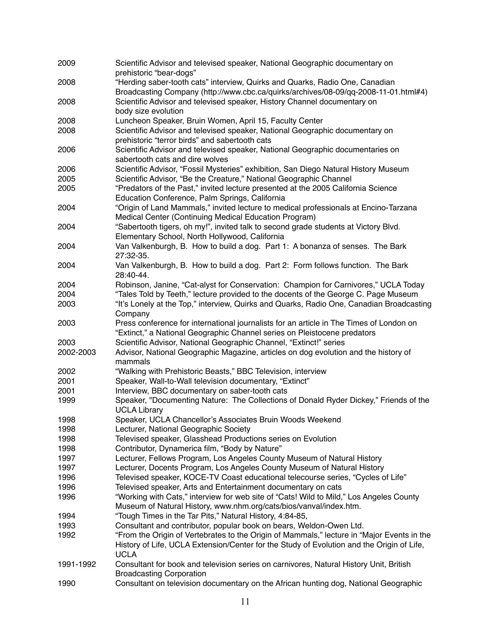| 2009      | Scientific Advisor and televised speaker, National Geographic documentary on<br>prehistoric "bear-dogs"                                                                                                |
|-----------|--------------------------------------------------------------------------------------------------------------------------------------------------------------------------------------------------------|
| 2008      | "Herding saber-tooth cats" interview, Quirks and Quarks, Radio One, Canadian<br>Broadcasting Company (http://www.cbc.ca/quirks/archives/08-09/qq-2008-11-01.html#4)                                    |
| 2008      | Scientific Advisor and televised speaker, History Channel documentary on                                                                                                                               |
|           | body size evolution                                                                                                                                                                                    |
| 2008      | Luncheon Speaker, Bruin Women, April 15, Faculty Center                                                                                                                                                |
| 2008      | Scientific Advisor and televised speaker, National Geographic documentary on<br>prehistoric "terror birds" and sabertooth cats                                                                         |
| 2006      | Scientific Advisor and televised speaker, National Geographic documentaries on<br>sabertooth cats and dire wolves                                                                                      |
| 2006      | Scientific Advisor, "Fossil Mysteries" exhibition, San Diego Natural History Museum                                                                                                                    |
| 2005      | Scientific Advisor, "Be the Creature," National Geographic Channel                                                                                                                                     |
|           |                                                                                                                                                                                                        |
| 2005      | "Predators of the Past," invited lecture presented at the 2005 California Science                                                                                                                      |
|           | Education Conference, Palm Springs, California                                                                                                                                                         |
| 2004      | "Origin of Land Mammals," invited lecture to medical professionals at Encino-Tarzana<br>Medical Center (Continuing Medical Education Program)                                                          |
| 2004      | "Sabertooth tigers, oh my!", invited talk to second grade students at Victory Blvd.<br>Elementary School, North Hollywood, California                                                                  |
| 2004      | Van Valkenburgh, B. How to build a dog. Part 1: A bonanza of senses. The Bark                                                                                                                          |
| 2004      | 27:32-35.<br>Van Valkenburgh, B. How to build a dog. Part 2: Form follows function. The Bark                                                                                                           |
|           | 28:40-44.                                                                                                                                                                                              |
| 2004      | Robinson, Janine, "Cat-alyst for Conservation: Champion for Carnivores," UCLA Today                                                                                                                    |
| 2004      | "Tales Told by Teeth," lecture provided to the docents of the George C. Page Museum                                                                                                                    |
| 2003      | "It's Lonely at the Top," interview, Quirks and Quarks, Radio One, Canadian Broadcasting                                                                                                               |
|           | Company                                                                                                                                                                                                |
| 2003      | Press conference for international journalists for an article in The Times of London on                                                                                                                |
|           | "Extinct," a National Geographic Channel series on Pleistocene predators                                                                                                                               |
| 2003      | Scientific Advisor, National Geographic Channel, "Extinct!" series                                                                                                                                     |
| 2002-2003 | Advisor, National Geographic Magazine, articles on dog evolution and the history of<br>mammals                                                                                                         |
| 2002      | "Walking with Prehistoric Beasts," BBC Television, interview                                                                                                                                           |
|           |                                                                                                                                                                                                        |
| 2001      | Speaker, Wall-to-Wall television documentary, "Extinct"                                                                                                                                                |
| 2001      | Interview, BBC documentary on saber-tooth cats                                                                                                                                                         |
| 1999      | Speaker, "Documenting Nature: The Collections of Donald Ryder Dickey," Friends of the<br><b>UCLA Library</b>                                                                                           |
| 1998      | Speaker, UCLA Chancellor's Associates Bruin Woods Weekend                                                                                                                                              |
| 1998      | Lecturer, National Geographic Society                                                                                                                                                                  |
| 1998      | Televised speaker, Glasshead Productions series on Evolution                                                                                                                                           |
| 1998      | Contributor, Dynamerica film, "Body by Nature"                                                                                                                                                         |
| 1997      | Lecturer, Fellows Program, Los Angeles County Museum of Natural History                                                                                                                                |
|           |                                                                                                                                                                                                        |
| 1997      | Lecturer, Docents Program, Los Angeles County Museum of Natural History                                                                                                                                |
| 1996      | Televised speaker, KOCE-TV Coast educational telecourse series, "Cycles of Life"                                                                                                                       |
| 1996      | Televised speaker, Arts and Entertainment documentary on cats                                                                                                                                          |
| 1996      | "Working with Cats," interview for web site of "Cats! Wild to Mild," Los Angeles County                                                                                                                |
|           | Museum of Natural History, www.nhm.org/cats/bios/vanval/index.htm.                                                                                                                                     |
| 1994      | "Tough Times in the Tar Pits," Natural History, 4:84-85,                                                                                                                                               |
| 1993      | Consultant and contributor, popular book on bears, Weldon-Owen Ltd.                                                                                                                                    |
| 1992      | "From the Origin of Vertebrates to the Origin of Mammals," lecture in "Major Events in the<br>History of Life, UCLA Extension/Center for the Study of Evolution and the Origin of Life,<br><b>UCLA</b> |
| 1991-1992 | Consultant for book and television series on carnivores, Natural History Unit, British                                                                                                                 |
|           | <b>Broadcasting Corporation</b>                                                                                                                                                                        |
| 1990      | Consultant on television documentary on the African hunting dog, National Geographic                                                                                                                   |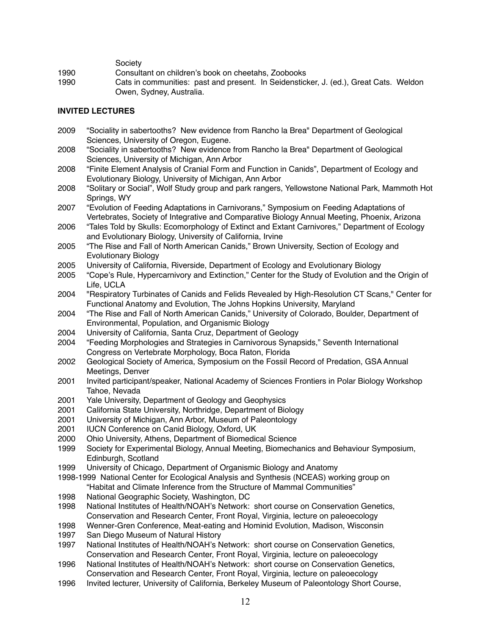Society

1990! ! Consultant on children's book on cheetahs, Zoobooks

1990 **1990** Cats in communities: past and present. In Seidensticker, J. (ed.), Great Cats. Weldon Owen, Sydney, Australia.

# **INVITED LECTURES**

- 2009 "Sociality in sabertooths? New evidence from Rancho la Brea" Department of Geological Sciences, University of Oregon, Eugene.
- 2008 "Sociality in sabertooths? New evidence from Rancho la Brea" Department of Geological Sciences, University of Michigan, Ann Arbor
- 2008 "Finite Element Analysis of Cranial Form and Function in Canids", Department of Ecology and Evolutionary Biology, University of Michigan, Ann Arbor
- 2008 "Solitary or Social", Wolf Study group and park rangers, Yellowstone National Park, Mammoth Hot Springs, WY
- 2007 "Evolution of Feeding Adaptations in Carnivorans," Symposium on Feeding Adaptations of Vertebrates, Society of Integrative and Comparative Biology Annual Meeting, Phoenix, Arizona
- 2006 "Tales Told by Skulls: Ecomorphology of Extinct and Extant Carnivores," Department of Ecology and Evolutionary Biology, University of California, Irvine
- 2005 "The Rise and Fall of North American Canids," Brown University, Section of Ecology and Evolutionary Biology
- 2005 University of California, Riverside, Department of Ecology and Evolutionary Biology
- 2005 "Cope's Rule, Hypercarnivory and Extinction," Center for the Study of Evolution and the Origin of Life, UCLA
- 2004 "Respiratory Turbinates of Canids and Felids Revealed by High-Resolution CT Scans," Center for Functional Anatomy and Evolution, The Johns Hopkins University, Maryland
- 2004 "The Rise and Fall of North American Canids," University of Colorado, Boulder, Department of Environmental, Population, and Organismic Biology
- 2004 University of California, Santa Cruz, Department of Geology
- 2004 "Feeding Morphologies and Strategies in Carnivorous Synapsids," Seventh International Congress on Vertebrate Morphology, Boca Raton, Florida
- 2002 Geological Society of America, Symposium on the Fossil Record of Predation, GSA Annual Meetings, Denver
- 2001 Invited participant/speaker, National Academy of Sciences Frontiers in Polar Biology Workshop Tahoe, Nevada
- 2001 Yale University, Department of Geology and Geophysics
- 2001 California State University, Northridge, Department of Biology
- 2001 University of Michigan, Ann Arbor, Museum of Paleontology
- 2001 IUCN Conference on Canid Biology, Oxford, UK
- 2000 Ohio University, Athens, Department of Biomedical Science
- 1999 Society for Experimental Biology, Annual Meeting, Biomechanics and Behaviour Symposium, Edinburgh, Scotland
- 1999 University of Chicago, Department of Organismic Biology and Anatomy
- 1998-1999 National Center for Ecological Analysis and Synthesis (NCEAS) working group on "Habitat and Climate Inference from the Structure of Mammal Communities"
- 1998 National Geographic Society, Washington, DC
- 1998 National Institutes of Health/NOAH's Network: short course on Conservation Genetics, Conservation and Research Center, Front Royal, Virginia, lecture on paleoecology
- 1998 Wenner-Gren Conference, Meat-eating and Hominid Evolution, Madison, Wisconsin
- 1997 San Diego Museum of Natural History
- 1997 National Institutes of Health/NOAH's Network: short course on Conservation Genetics, Conservation and Research Center, Front Royal, Virginia, lecture on paleoecology
- 1996 National Institutes of Health/NOAH's Network: short course on Conservation Genetics, Conservation and Research Center, Front Royal, Virginia, lecture on paleoecology
- 1996 Invited lecturer, University of California, Berkeley Museum of Paleontology Short Course,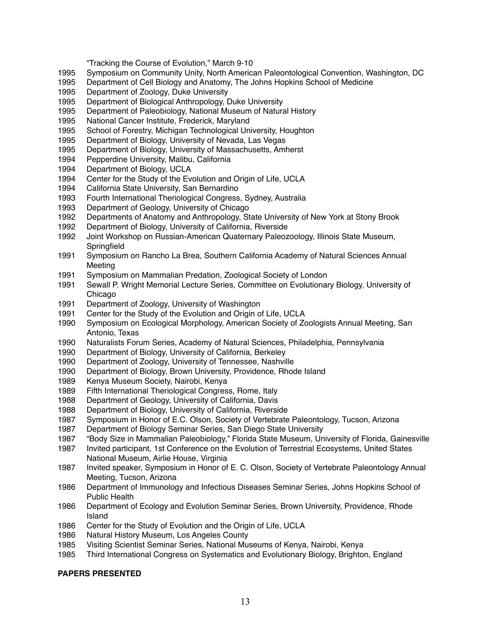"Tracking the Course of Evolution," March 9-10

- Symposium on Community Unity, North American Paleontological Convention, Washington, DC
- Department of Cell Biology and Anatomy, The Johns Hopkins School of Medicine
- Department of Zoology, Duke University
- Department of Biological Anthropology, Duke University
- Department of Paleobiology, National Museum of Natural History
- National Cancer Institute, Frederick, Maryland
- School of Forestry, Michigan Technological University, Houghton
- Department of Biology, University of Nevada, Las Vegas
- Department of Biology, University of Massachusetts, Amherst
- 1994 Pepperdine University, Malibu, California<br>1994 Department of Biology, UCLA
- Department of Biology, UCLA
- Center for the Study of the Evolution and Origin of Life, UCLA
- California State University, San Bernardino
- Fourth International Theriological Congress, Sydney, Australia
- Department of Geology, University of Chicago
- Departments of Anatomy and Anthropology, State University of New York at Stony Brook
- Department of Biology, University of California, Riverside
- Joint Workshop on Russian-American Quaternary Paleozoology, Illinois State Museum, **Springfield**
- Symposium on Rancho La Brea, Southern California Academy of Natural Sciences Annual Meeting
- Symposium on Mammalian Predation, Zoological Society of London
- Sewall P. Wright Memorial Lecture Series, Committee on Evolutionary Biology, University of Chicago
- Department of Zoology, University of Washington
- Center for the Study of the Evolution and Origin of Life, UCLA
- Symposium on Ecological Morphology, American Society of Zoologists Annual Meeting, San Antonio, Texas
- Naturalists Forum Series, Academy of Natural Sciences, Philadelphia, Pennsylvania
- Department of Biology, University of California, Berkeley
- Department of Zoology, University of Tennessee, Nashville
- Department of Biology, Brown University, Providence, Rhode Island
- Kenya Museum Society, Nairobi, Kenya
- Fifth International Theriological Congress, Rome, Italy
- Department of Geology, University of California, Davis
- Department of Biology, University of California, Riverside
- Symposium in Honor of E.C. Olson, Society of Vertebrate Paleontology, Tucson, Arizona
- Department of Biology Seminar Series, San Diego State University
- "Body Size in Mammalian Paleobiology," Florida State Museum, University of Florida, Gainesville
- Invited participant, 1st Conference on the Evolution of Terrestrial Ecosystems, United States National Museum, Airlie House, Virginia
- Invited speaker, Symposium in Honor of E. C. Olson, Society of Vertebrate Paleontology Annual Meeting, Tucson, Arizona
- Department of Immunology and Infectious Diseases Seminar Series, Johns Hopkins School of Public Health
- Department of Ecology and Evolution Seminar Series, Brown University, Providence, Rhode Island
- Center for the Study of Evolution and the Origin of Life, UCLA
- Natural History Museum, Los Angeles County
- Visiting Scientist Seminar Series, National Museums of Kenya, Nairobi, Kenya
- Third International Congress on Systematics and Evolutionary Biology, Brighton, England

#### **PAPERS PRESENTED**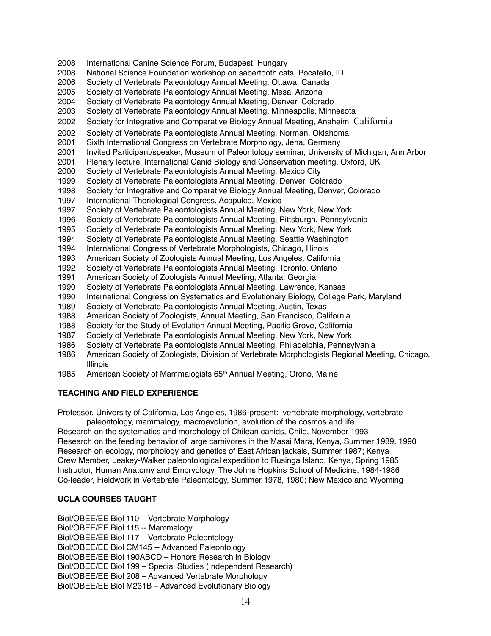- International Canine Science Forum, Budapest, Hungary National Science Foundation workshop on sabertooth cats, Pocatello, ID Society of Vertebrate Paleontology Annual Meeting, Ottawa, Canada Society of Vertebrate Paleontology Annual Meeting, Mesa, Arizona Society of Vertebrate Paleontology Annual Meeting, Denver, Colorado Society of Vertebrate Paleontology Annual Meeting, Minneapolis, Minnesota Society for Integrative and Comparative Biology Annual Meeting, Anaheim, California Society of Vertebrate Paleontologists Annual Meeting, Norman, Oklahoma Sixth International Congress on Vertebrate Morphology, Jena, Germany Invited Participant/speaker, Museum of Paleontology seminar, University of Michigan, Ann Arbor Plenary lecture, International Canid Biology and Conservation meeting, Oxford, UK Society of Vertebrate Paleontologists Annual Meeting, Mexico City Society of Vertebrate Paleontologists Annual Meeting, Denver, Colorado Society for Integrative and Comparative Biology Annual Meeting, Denver, Colorado International Theriological Congress, Acapulco, Mexico Society of Vertebrate Paleontologists Annual Meeting, New York, New York Society of Vertebrate Paleontologists Annual Meeting, Pittsburgh, Pennsylvania Society of Vertebrate Paleontologists Annual Meeting, New York, New York Society of Vertebrate Paleontologists Annual Meeting, Seattle Washington International Congress of Vertebrate Morphologists, Chicago, Illinois American Society of Zoologists Annual Meeting, Los Angeles, California Society of Vertebrate Paleontologists Annual Meeting, Toronto, Ontario American Society of Zoologists Annual Meeting, Atlanta, Georgia Society of Vertebrate Paleontologists Annual Meeting, Lawrence, Kansas International Congress on Systematics and Evolutionary Biology, College Park, Maryland Society of Vertebrate Paleontologists Annual Meeting, Austin, Texas American Society of Zoologists, Annual Meeting, San Francisco, California Society for the Study of Evolution Annual Meeting, Pacific Grove, California Society of Vertebrate Paleontologists Annual Meeting, New York, New York Society of Vertebrate Paleontologists Annual Meeting, Philadelphia, Pennsylvania American Society of Zoologists, Division of Vertebrate Morphologists Regional Meeting, Chicago, Illinois
- American Society of Mammalogists 65th Annual Meeting, Orono, Maine

# **TEACHING AND FIELD EXPERIENCE**

Professor, University of California, Los Angeles, 1986-present: vertebrate morphology, vertebrate paleontology, mammalogy, macroevolution, evolution of the cosmos and life

Research on the systematics and morphology of Chilean canids, Chile, November 1993 Research on the feeding behavior of large carnivores in the Masai Mara, Kenya, Summer 1989, 1990 Research on ecology, morphology and genetics of East African jackals, Summer 1987; Kenya Crew Member, Leakey-Walker paleontological expedition to Rusinga Island, Kenya, Spring 1985 Instructor, Human Anatomy and Embryology, The Johns Hopkins School of Medicine, 1984-1986 Co-leader, Fieldwork in Vertebrate Paleontology, Summer 1978, 1980; New Mexico and Wyoming

# **UCLA COURSES TAUGHT**

Biol/OBEE/EE Biol 110 – Vertebrate Morphology Biol/OBEE/EE Biol 115 -- Mammalogy Biol/OBEE/EE Biol 117 – Vertebrate Paleontology Biol/OBEE/EE Biol CM145 -- Advanced Paleontology Biol/OBEE/EE Biol 190ABCD – Honors Research in Biology Biol/OBEE/EE Biol 199 – Special Studies (Independent Research) Biol/OBEE/EE Biol 208 – Advanced Vertebrate Morphology Biol/OBEE/EE Biol M231B – Advanced Evolutionary Biology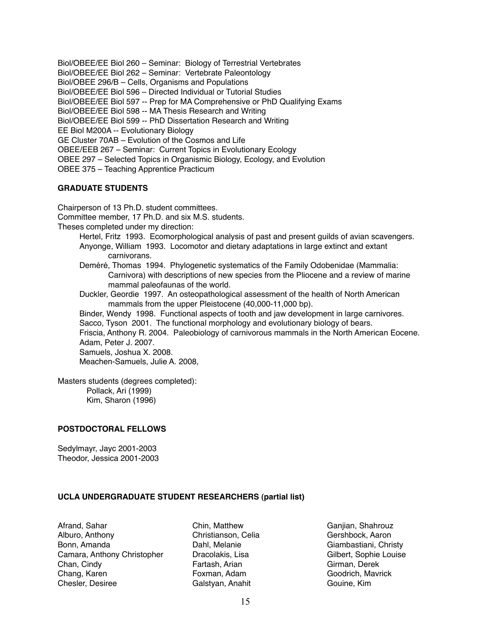Biol/OBEE/EE Biol 260 – Seminar: Biology of Terrestrial Vertebrates Biol/OBEE/EE Biol 262 – Seminar: Vertebrate Paleontology Biol/OBEE 296/B – Cells, Organisms and Populations Biol/OBEE/EE Biol 596 – Directed Individual or Tutorial Studies Biol/OBEE/EE Biol 597 -- Prep for MA Comprehensive or PhD Qualifying Exams Biol/OBEE/EE Biol 598 -- MA Thesis Research and Writing Biol/OBEE/EE Biol 599 -- PhD Dissertation Research and Writing EE Biol M200A -- Evolutionary Biology GE Cluster 70AB – Evolution of the Cosmos and Life OBEE/EEB 267 – Seminar: Current Topics in Evolutionary Ecology OBEE 297 – Selected Topics in Organismic Biology, Ecology, and Evolution OBEE 375 – Teaching Apprentice Practicum

## **GRADUATE STUDENTS**

Chairperson of 13 Ph.D. student committees.

Committee member, 17 Ph.D. and six M.S. students.

Theses completed under my direction:

- Hertel, Fritz 1993. Ecomorphological analysis of past and present guilds of avian scavengers. Anyonge, William 1993. Locomotor and dietary adaptations in large extinct and extant carnivorans.
- Deméré, Thomas 1994. Phylogenetic systematics of the Family Odobenidae (Mammalia: Carnivora) with descriptions of new species from the Pliocene and a review of marine mammal paleofaunas of the world.
- Duckler, Geordie 1997. An osteopathological assessment of the health of North American mammals from the upper Pleistocene (40,000-11,000 bp).

Binder, Wendy 1998. Functional aspects of tooth and jaw development in large carnivores. Sacco, Tyson 2001. The functional morphology and evolutionary biology of bears.

Friscia, Anthony R. 2004. Paleobiology of carnivorous mammals in the North American Eocene. Adam, Peter J. 2007.

Samuels, Joshua X. 2008. Meachen-Samuels, Julie A. 2008,

Masters students (degrees completed): Pollack, Ari (1999) Kim, Sharon (1996)

# **POSTDOCTORAL FELLOWS**

Sedylmayr, Jayc 2001-2003 Theodor, Jessica 2001-2003

# **UCLA UNDERGRADUATE STUDENT RESEARCHERS (partial list)**

Afrand, Sahar Alburo, Anthony Bonn, Amanda Camara, Anthony Christopher Chan, Cindy Chang, Karen Chesler, Desiree

Chin, Matthew Christianson, Celia Dahl, Melanie Dracolakis, Lisa Fartash, Arian Foxman, Adam Galstyan, Anahit

Ganjian, Shahrouz Gershbock, Aaron Giambastiani, Christy Gilbert, Sophie Louise Girman, Derek Goodrich, Mavrick Gouine, Kim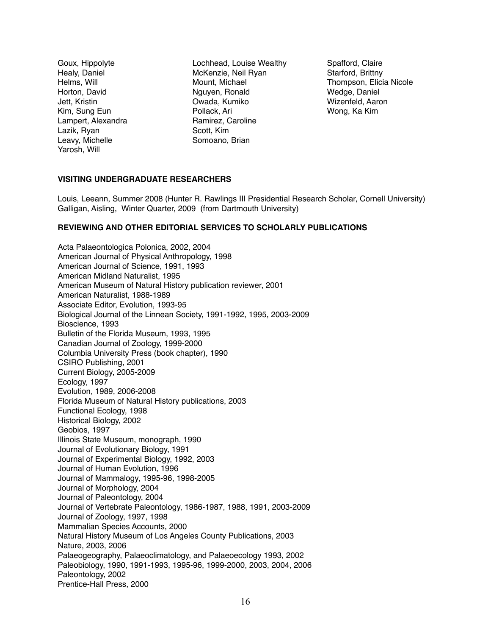Goux, Hippolyte Healy, Daniel Helms, Will Horton, David Jett, Kristin Kim, Sung Eun Lampert, Alexandra Lazik, Ryan Leavy, Michelle Yarosh, Will

Lochhead, Louise Wealthy McKenzie, Neil Ryan Mount, Michael Nguyen, Ronald Owada, Kumiko Pollack, Ari Ramirez, Caroline Scott, Kim Somoano, Brian

Spafford, Claire Starford, Brittny Thompson, Elicia Nicole Wedge, Daniel Wizenfeld, Aaron Wong, Ka Kim

# **VISITING UNDERGRADUATE RESEARCHERS**

Louis, Leeann, Summer 2008 (Hunter R. Rawlings III Presidential Research Scholar, Cornell University) Galligan, Aisling, Winter Quarter, 2009 (from Dartmouth University)

## **REVIEWING AND OTHER EDITORIAL SERVICES TO SCHOLARLY PUBLICATIONS**

Acta Palaeontologica Polonica, 2002, 2004 American Journal of Physical Anthropology, 1998 American Journal of Science, 1991, 1993 American Midland Naturalist, 1995 American Museum of Natural History publication reviewer, 2001 American Naturalist, 1988-1989 Associate Editor, Evolution, 1993-95 Biological Journal of the Linnean Society, 1991-1992, 1995, 2003-2009 Bioscience, 1993 Bulletin of the Florida Museum, 1993, 1995 Canadian Journal of Zoology, 1999-2000 Columbia University Press (book chapter), 1990 CSIRO Publishing, 2001 Current Biology, 2005-2009 Ecology, 1997 Evolution, 1989, 2006-2008 Florida Museum of Natural History publications, 2003 Functional Ecology, 1998 Historical Biology, 2002 Geobios, 1997 Illinois State Museum, monograph, 1990 Journal of Evolutionary Biology, 1991 Journal of Experimental Biology, 1992, 2003 Journal of Human Evolution, 1996 Journal of Mammalogy, 1995-96, 1998-2005 Journal of Morphology, 2004 Journal of Paleontology, 2004 Journal of Vertebrate Paleontology, 1986-1987, 1988, 1991, 2003-2009 Journal of Zoology, 1997, 1998 Mammalian Species Accounts, 2000 Natural History Museum of Los Angeles County Publications, 2003 Nature, 2003, 2006 Palaeogeography, Palaeoclimatology, and Palaeoecology 1993, 2002 Paleobiology, 1990, 1991-1993, 1995-96, 1999-2000, 2003, 2004, 2006 Paleontology, 2002 Prentice-Hall Press, 2000